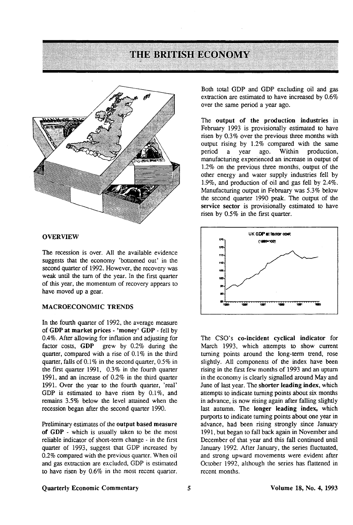# THE BRITISH ECONOMY



#### **OVERVIEW**

The recession is over. All the available evidence suggests that the economy 'bottomed out' in the second quarter of 1992. However, the recovery was weak until the turn of the year. In the first quarter of this year, the momentum of recovery appears to have moved up a gear.

### **MACROECONOMIC TRENDS**

In the fourth quarter of 1992, the average measure of **GDP at market prices** - **'money' GDP** - fell by 0.4%. After allowing for inflation and adjusting for factor costs, **GDP** grew by 0.2% during the quarter, compared with a rise of 0.1% in the third quarter, falls of 0.1% in the second quarter, 0.5% in the first quarter 1991, 0.3% in the fourth quarter 1991, and an increase of 0.2% in the third quarter 1991. Over the year to the fourth quarter, 'real' GDP is estimated to have risen by 0.1%, and remains 3.5% below the level attained when the recession began after the second quarter 1990.

Preliminary estimates of the **output based measure of GDP** - which is usually taken to be the most reliable indicator of short-term change - in the first quarter of 1993, suggest that GDP increased by 0.2% compared with the previous quarter. When oil and gas extraction are excluded, GDP is estimated to have risen by 0.6% in the most recent quarter.

Both total GDP and GDP excluding oil and gas extraction are estimated to have increased by 0.6% over the same period a year ago.

The **output of the production industries** in February 1993 is provisionally estimated to have risen by 0.3% over the previous three months with output rising by 1.2% compared with the same<br>period a year ago. Within production, a year ago. Within production, manufacturing experienced an increase in output of 1.2% on the previous three months, output of the other energy and water supply industries fell by 1.9%, and production of oil and gas fell by 2.4%. Manufacturing output in February was 5.3% below the second quarter 1990 peak. The output of the **service sector** is provisionally estimated to have risen by 0.5% in the first quarter.



The CSO's **co-incident cyclical indicator** for March 1993, which attempts to show current turning points around the long-term trend, rose slightly. All components of the index have been rising in the first few months of 1993 and an upturn in the economy is clearly signalled around May and June of last year. The **shorter leading index,** which attempts to indicate turning points about six months in advance, is now rising again after falling slightly last autumn. The **longer leading index,** which purports to indicate turning points about one year in advance, had been rising strongly since January 1991, but began to fall back again in November and December of that year and this fall continued until January 1992. After January, the series fluctuated, and strong upward movements were evident after October 1992, although the series has flattened in recent months.

#### **Quarterly Economic Commentary 5 Volume 18, No. 4, 1993**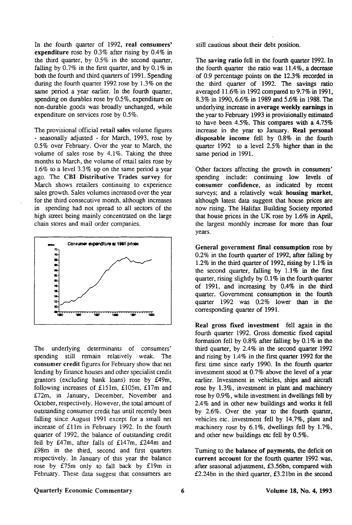In the fourth quarter of 1992, **real consumers' expenditure** rose by 0.3% after rising by 0.4% in the third quarter, by 0.5% in the second quarter, falling by 0.7% in the first quarter, and by 0.1% in both the fourth and third quarters of 1991. Spending during the fourth quarter 1992 rose by 1.3% on the same period a year earlier. In the fourth quarter, spending on durables rose by 0.5%, expenditure on non-durable goods was broadly unchanged, while expenditure on services rose by 0.5%.

The provisional official retail sales volume figures - seasonally adjusted - for March, 1993, rose by 0.5% over February. Over the year to March, the volume of sales rose by 4.1%. Taking the three months to March, the volume of retail sales rose by 1.6% to a level 3.3% up on the same period a year ago. The CBI Distributive Trades survey for March shows retailers continuing to experience sales growth. Sales volumes increased over the year for the third consecutive month, although increases in spending had not spread to all sectors of the high street being mainly concentrated on the large chain stores and mail order companies.



The underlying determinants of consumers' spending still remain relatively weak. The consumer credit figures for February show that net lending by finance houses and other specialist credit grantors (excluding bank loans) rose by £49m, following increases of £151m, £105m, £17m and £72m, in January, December, November and October, respectively. However, the total amount of outstanding consumer credit has until recently been falling since August 1991 except for a small net increase of £1 lm in February 1992. In the fourth quarter of 1992, the balance of outstanding credit fell by £47m, after falls of £147m, £244m and £98m in the third, second and first quarters respectively. In January of this year the balance rose by £75m only to fall back by £19m in February. These data suggest that consumers are

still cautious about their debt position.

The saving **ratio** fell in the fourth quarter 1992. In the fourth quarter the ratio was 11.4%, a decrease of 0.9 percentage points on the 12.3% recorded in the third quarter of 1992. The savings ratio averaged 11.6% in 1992 compared to 9.7% in 1991, 8.3% in 1990,6.6% in 1989 and 5.6% in 1988. The underlying increase in **average weekly earnings** in the year to February 1993 is provisionally estimated to have been 4.5%. This compares with a 4.75% increase in the year to January. **Real personal disposable income** fell by 0.8% in the fourth quarter 1992 to a level 2.5% higher than in the same period in 1991.

Other factors affecting the growth in consumers' spending include: continuing low levels of consumer confidence, as indicated by recent surveys; and a relatively weak **housing market,**  although latest data suggest that house prices are now rising. The Halifax Building Society reported that house prices in the UK rose by 1.6% in April, the largest monthly increase for more than four years.

**General government final consumption** rose by 0.2% in the fourth quarter of 1992, after falling by 1.2% in the third quarter of 1992, rising by 1.1% in the second quarter, falling by 1.1% in the first quarter, rising slighdy by 0.1% in the fourth quarter of 1991, and increasing by 0.4% in the third quarter. Government consumption in the fourth quarter 1992 was 0.2% lower than in the corresponding quarter of 1991.

**Real** gross fixed investment fell again in the fourth quarter 1992. Gross domestic fixed capital formation fell by 0.8% after falling by 0.1% in the third quarter, by 2.4% in the second quarter 1992 and rising by 1.4% in the first quarter 1992 for the first time since early 1990. In the fourth quarter investment stood at 0.7% above the level of a year earlier. Investment in vehicles, ships and aircraft rose by 1.3%, investment in plant and machinery rose by 0.9%, while investment in dwellings fell by 2.4% and in other new buildings and works it fell by 2.6%. Over the year to the fourth quarter, vehicles etc. investment fell by 14.7%, plant and machinery rose by 6.1%, dwellings fell by 1.7%, and other new buildings etc fell by 0.5%.

Turning to the **balance of payments,** the deficit on **current account** for the fourth quarter 1992 was, after seasonal adjustment, £3.56bn, compared with £2.24bn in the third quarter, £3.21bn in the second

#### Quarterly Economic Commentary 6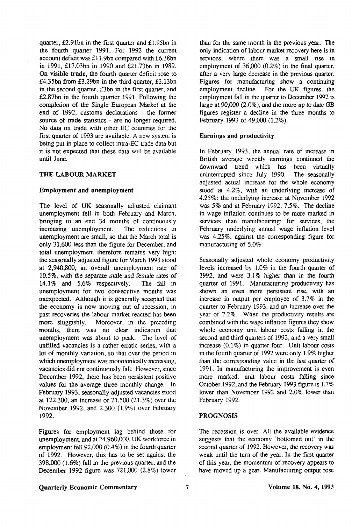quarter, £2.91bn in the first quarter and £1.95bn in the fourth quarter 1991. For 1992 the current account deficit was £11.9bn compared with £6.38bn in 1991, £17.03bn in 1990 and £21.73bn in 1989. **On visible trade,** the fourth quarter deficit rose to £4.35bn from £3.29bn in the third quarter, £3.13bn in the second quarter, £3bn in the first quarter, and £2.87bn in the fourth quarter 1991. Following the completion of the Single European Market at the end of 1992, customs declarations - the former source of trade statistics - are no longer required. No data on trade with other EC countries for the first quarter of 1993 are available. A new system is being put in place to collect intra-EC trade data but it is not expected that these data will be available until June.

#### **THE LABOUR MARKET**

#### **Employment and unemployment**

The level of UK seasonally adjusted claimant unemployment fell in both February and March, bringing to an end 34 months of continuously increasing unemployment. The reductions in unemployment are small, so that the March total is only 31,600 less than the figure for December, and total unemployment therefore remains very high: the seasonally adjusted figure for March 1993 stood at 2,940,800, an overall unemployment rate of 10.5%, with the separate male and female rates of 14.1% and 5.6% respectively. The fall in unemployment for two consecutive months was unexpected. Although it is generally accepted that the economy is now moving out of recession, in past recoveries the labour market reacted has been more sluggishly. Moreover, in the preceding months, there was no clear indication that unemployment was about to peak. The level of unfilled vacancies is a rather erratic series, with a lot of monthly variation, so that over the period in which unemployment was monotonically increasing, vacancies did not continuously fall. However, since December 1992, there has been persistent positive values for the average three monthly change. In February 1993, seasonally adjusted vacancies stood at 122,300, an increase of 21,500 (21.3%) over the November 1992, and 2,300 (1.9%) over February 1992.

Figures for employment lag behind those for unemployment, and at 24,960,000, UK workforce in employment fell 92,000 (0.4%) in the fourth quarter of 1992. However, this has to be set against the 398,000 (1.6%) fall in the previous quarter, and the December 1992 figure was 721,000 (2.8%) lower than for the same month in the previous year. The only indication of labour market recovery here is in services, where there was a small rise in employment of 36,000 (0.2%) in the final quarter, after a very large decrease in the previous quarter. Figures for manufacturing show a continuing employment decline. For the UK figures, the employment fall in the quarter to December 1992 is large at 90,000 (2.0%), and the more up to date GB figures register a decline in the three months to February 1993 of 49,000 (1.2%).

#### Earnings and productivity

In February 1993, the annual rate of increase in British average weekly earnings continued the downward trend which has been virtually uninterrupted since July 1990. The seasonally adjusted actual increase for the whole economy stood at 4.2%, with an underlying increase of 4.25%: the underlying increase at November 1992 was 5% and at February 1992, 7.5%. The decline in wage inflation continues to be more marked in services than manufacturing: for services, the February underlying annual wage inflation level was 4.25%, against the corresponding figure for manufacturing of 5.0%.

Seasonally adjusted whole economy productivity levels increased by 1.0% in the fourth quarter of 1992, and were 3.1% higher than in the fourth quarter of 1991. Manufacturing productivity has shown an even more persistent rise, with an increase in output per employee of 3.7% in the quarter to February 1993, and an increase over the year of 7.2%. When the productivity results are combined with the wage inflation figures they show whole economy unit labour costs falling in the second and third quarters of 1992, and a very small increase (0.1%) in quarter four. Unit labour costs in the fourth quarter of 1992 were only 1.9% higher than the corresponding value in the last quarter of 1991. In manufacturing the improvement is even more marked: unit labour costs falling since October 1992, and the February 1993 figure is 1.7% lower than November 1992 and 2.0% lower than February 1992.

## **PROGNOSIS**

The recession is over. All the available evidence suggests that the economy 'bottomed out' in the second quarter of 1992. However, the recovery was weak until the turn of the year. In the first quarter of this year, the momentum of recovery appears to have moved up a gear. Manufacturing output rose

#### **Quarterly Economic** Commentary **Volume 18, No. 4, 1993**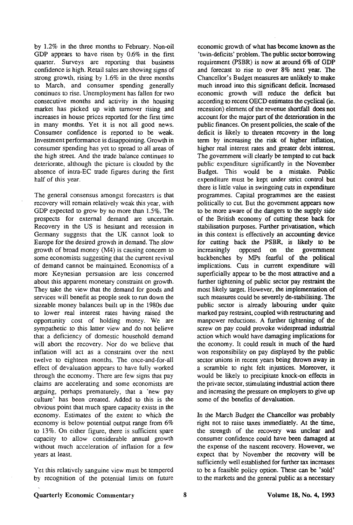by 1.2% in the three months to February. Non-oil GDP appears to have risen by 0.6% in the first quarter. Surveys are reporting that business confidence is high. Retail sales are showing signs of strong growth, rising by 1.6% in the three months to March, and consumer spending generally continues to rise. Unemployment has fallen for two consecutive months and activity in the housing market has picked up with turnover rising and increases in house prices reported for the first time in many months. Yet it is not all good news. Consumer confidence is reported to be weak. Investment performance is disappointing. Growth in consumer spending has yet to spread to all areas of the high street. And the trade balance continues to deteriorate, although the picture is clouded by the absence of intra-EC trade figures during the first half of this year.

The general consensus amongst forecasters is that recovery will remain relatively weak this year, with GDP expected to grow by no more than 1.5%. The prospects for external demand are uncertain. Recovery in the US is hesitant and recession in Germany suggests that the UK cannot look to Europe for the desired growth in demand. The slow growth of broad money (M4) is causing concern to some economists suggesting that the current revival of demand cannot be maintained. Economists of a more Keynesian persuasion are less concerned about this apparent monetary constraint on growth. They take the view that the demand for goods and services will benefit as people seek to run down the sizeable money balances built up in the 1980s due to lower real interest rates having raised the opportunity cost of holding money. We are sympathetic to this latter view and do not believe that a deficiency of domestic household demand will abort the recovery. Nor do we believe that inflation will act as a constraint over the next twelve to eighteen months. The once-and-for-all effect of devaluation appears to have fully worked through the economy. There are few signs that pay claims are accelerating and some economists are arguing, perhaps prematurely, that a 'new pay culture' has been created. Added to this is the obvious point that much spare capacity exists in the economy. Estimates of the extent to which the economy is below potential output range from 6% to 13%. On either figure, there is sufficient spare capacity to allow considerable annual growth without much acceleration of inflation for a few years at least.

Yet this relatively sanguine view must be tempered by recognition of the potential limits on future

economic growth of what has become known as the 'twin-deficits' problem. The public sector borrowing requirement (PSBR) is now at around 6% of GDP and forecast to rise to over 8% next year. The Chancellor's Budget measures are unlikely to make much inroad into this significant deficit. Increased economic growth will reduce the deficit but according to recent OECD estimates the cyclical (ie. recession) element of the revenue shortfall does not account for the major part of the deterioration in the public finances. On present policies, the scale of the deficit is likely to threaten recovery in the long term by increasing the risk of higher inflation, higher real interest rates and greater debt interest. The government will clearly be tempted to cut back public expenditure significantly in the November Budget. This would be a mistake. Public expenditure must be kept under strict control but there is little value in swingeing cuts in expenditure programmes. Capital programmes are the easiest politically to cut. But the government appears now to be more aware of the dangers to the supply side of the British economy of cutting these back for stabilisation purposes. Further privatisation, which in this context is effectively an accounting device for cutting back the PSBR, is likely to be increasingly opposed on the government backbenches by MPs fearful of the political implications. Cuts in current expenditure will superficially appear to be the most attractive and a further tightening of public sector pay restraint the most likely target. However, the implementation of such measures could be severely de-stabilising. The public sector is already labouring under quite marked pay restraint, coupled with restructuring and manpower reductions. A further tightening of the screw on pay could provoke widespread industrial action which would have damaging implications for the economy. It could result in much of the hard won responsibility on pay displayed by the public sector unions in recent years being thrown away in a scramble to right felt injustices. Moreover, it would be likely to precipitate knock-on effects in the private sector, stimulating industrial action there and increasing the pressure on employers to give up some of the benefits of devaluation.

In the March Budget the Chancellor was probably right not to raise taxes immediately. At the time, the strength of the recovery was unclear and consumer confidence could have been damaged at the expense of the nascent recovery. However, we expect that by November the recovery will be sufficiently well established for further tax increases to be a feasible policy option. These can be 'sold' to the markets and the general public as a necessary

# Quarterly Economic Commentary Volume 18, No. 4, 1993